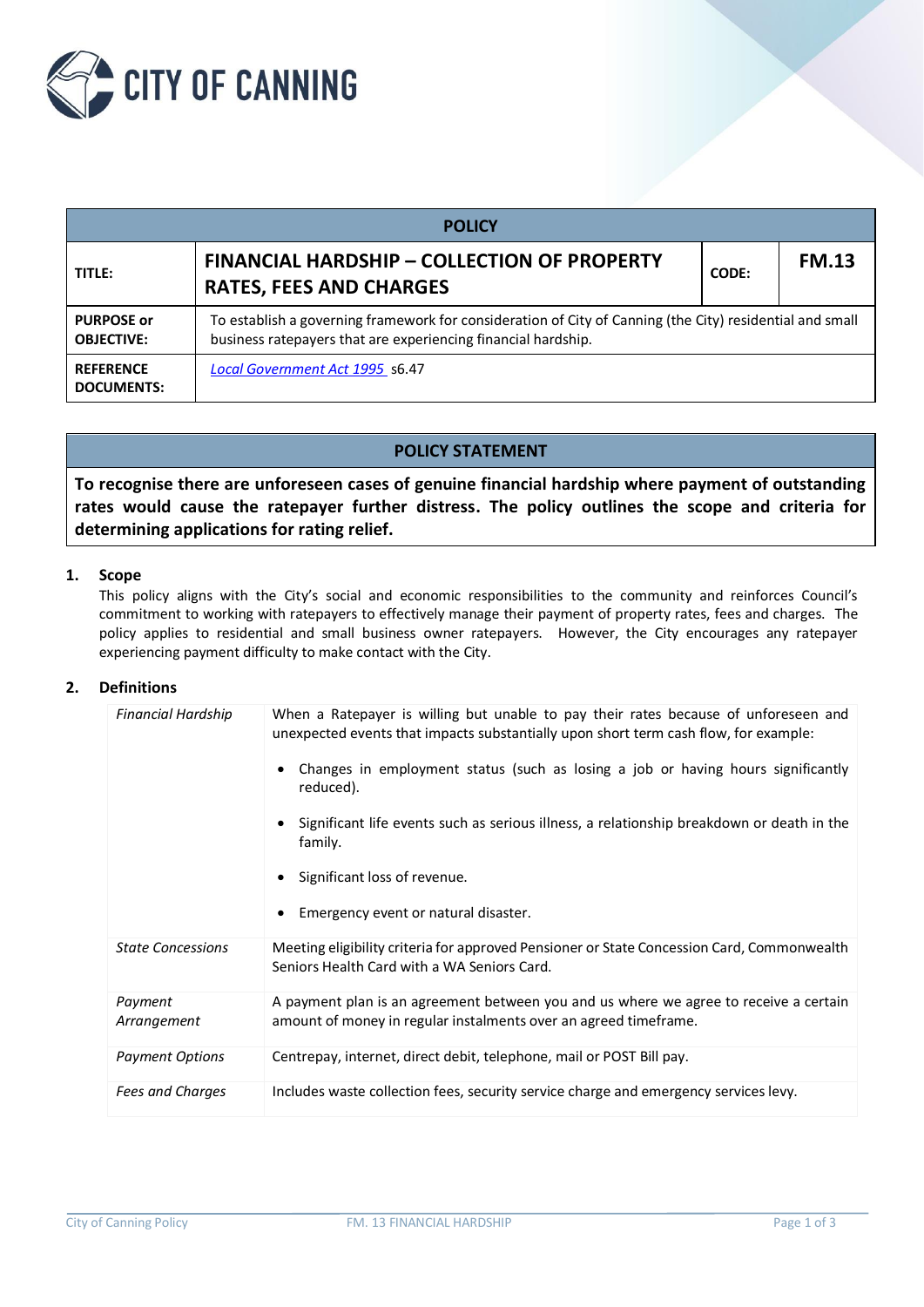

| <b>POLICY</b>                          |                                                                                                                                                                           |  |              |  |  |  |  |
|----------------------------------------|---------------------------------------------------------------------------------------------------------------------------------------------------------------------------|--|--------------|--|--|--|--|
| TITLE:                                 | <b>FINANCIAL HARDSHIP - COLLECTION OF PROPERTY</b><br><b>RATES, FEES AND CHARGES</b>                                                                                      |  | <b>FM.13</b> |  |  |  |  |
| <b>PURPOSE or</b><br><b>OBJECTIVE:</b> | To establish a governing framework for consideration of City of Canning (the City) residential and small<br>business ratepayers that are experiencing financial hardship. |  |              |  |  |  |  |
| <b>REFERENCE</b><br><b>DOCUMENTS:</b>  | Local Government Act 1995 s6.47                                                                                                                                           |  |              |  |  |  |  |

# **POLICY STATEMENT**

**To recognise there are unforeseen cases of genuine financial hardship where payment of outstanding rates would cause the ratepayer further distress. The policy outlines the scope and criteria for determining applications for rating relief.**

### **1. Scope**

This policy aligns with the City's social and economic responsibilities to the community and reinforces Council's commitment to working with ratepayers to effectively manage their payment of property rates, fees and charges. The policy applies to residential and small business owner ratepayers. However, the City encourages any ratepayer experiencing payment difficulty to make contact with the City.

### **2. Definitions**

| Financial Hardship       | When a Ratepayer is willing but unable to pay their rates because of unforeseen and<br>unexpected events that impacts substantially upon short term cash flow, for example:<br>Changes in employment status (such as losing a job or having hours significantly<br>reduced).<br>Significant life events such as serious illness, a relationship breakdown or death in the<br>family.<br>Significant loss of revenue.<br>Emergency event or natural disaster. |
|--------------------------|--------------------------------------------------------------------------------------------------------------------------------------------------------------------------------------------------------------------------------------------------------------------------------------------------------------------------------------------------------------------------------------------------------------------------------------------------------------|
| <b>State Concessions</b> | Meeting eligibility criteria for approved Pensioner or State Concession Card, Commonwealth<br>Seniors Health Card with a WA Seniors Card.                                                                                                                                                                                                                                                                                                                    |
| Payment<br>Arrangement   | A payment plan is an agreement between you and us where we agree to receive a certain<br>amount of money in regular instalments over an agreed timeframe.                                                                                                                                                                                                                                                                                                    |
| <b>Payment Options</b>   | Centrepay, internet, direct debit, telephone, mail or POST Bill pay.                                                                                                                                                                                                                                                                                                                                                                                         |
| Fees and Charges         | Includes waste collection fees, security service charge and emergency services levy.                                                                                                                                                                                                                                                                                                                                                                         |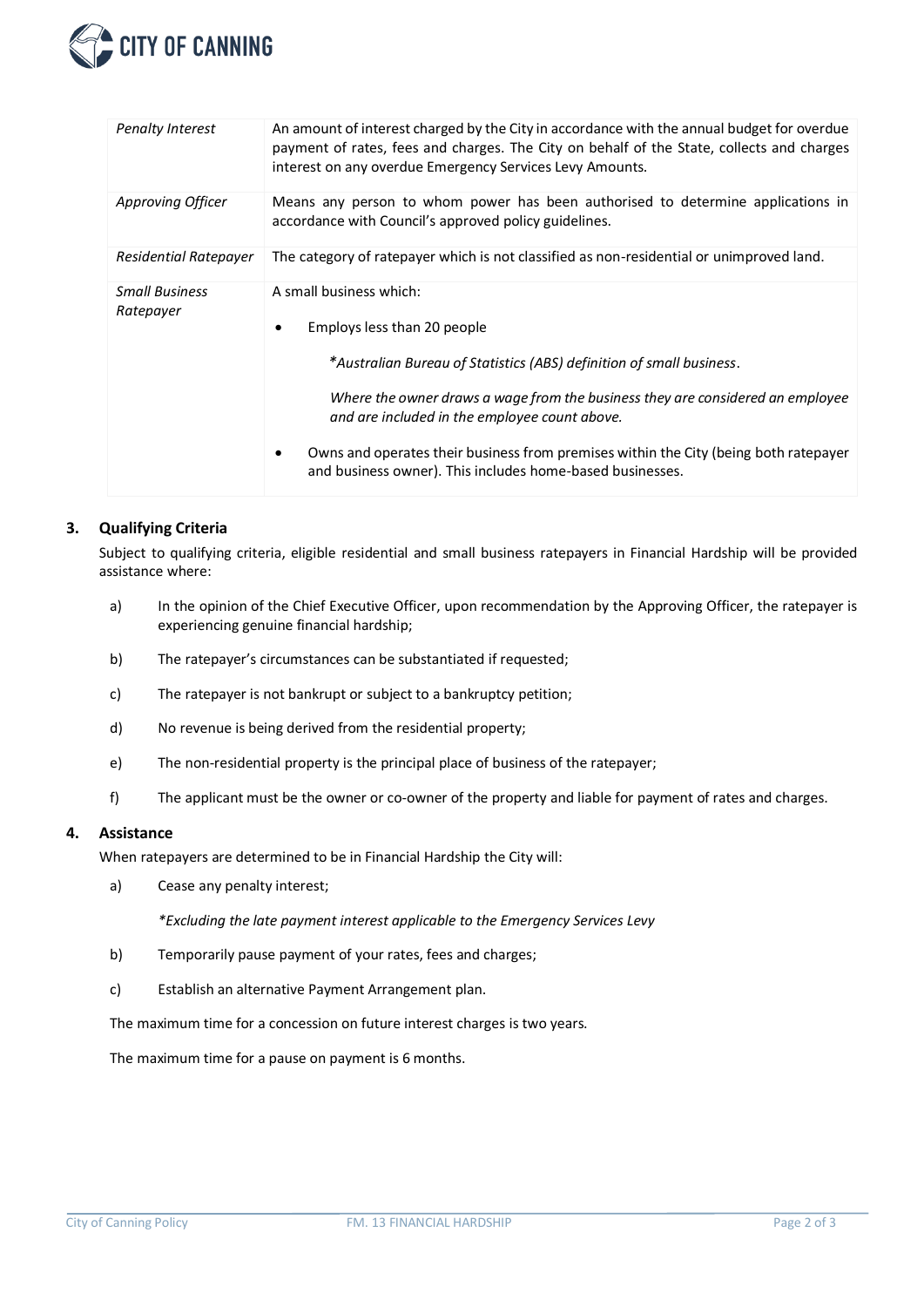

| <b>Penalty Interest</b>            | An amount of interest charged by the City in accordance with the annual budget for overdue<br>payment of rates, fees and charges. The City on behalf of the State, collects and charges<br>interest on any overdue Emergency Services Levy Amounts. |  |  |  |  |
|------------------------------------|-----------------------------------------------------------------------------------------------------------------------------------------------------------------------------------------------------------------------------------------------------|--|--|--|--|
| Approving Officer                  | Means any person to whom power has been authorised to determine applications in<br>accordance with Council's approved policy guidelines.                                                                                                            |  |  |  |  |
| Residential Ratepayer              | The category of ratepayer which is not classified as non-residential or unimproved land.                                                                                                                                                            |  |  |  |  |
| <b>Small Business</b><br>Ratepayer | A small business which:<br>Employs less than 20 people                                                                                                                                                                                              |  |  |  |  |
|                                    | *Australian Bureau of Statistics (ABS) definition of small business.                                                                                                                                                                                |  |  |  |  |
|                                    | Where the owner draws a wage from the business they are considered an employee<br>and are included in the employee count above.                                                                                                                     |  |  |  |  |
|                                    | Owns and operates their business from premises within the City (being both ratepayer<br>and business owner). This includes home-based businesses.                                                                                                   |  |  |  |  |

## **3. Qualifying Criteria**

Subject to qualifying criteria, eligible residential and small business ratepayers in Financial Hardship will be provided assistance where:

- a) In the opinion of the Chief Executive Officer, upon recommendation by the Approving Officer, the ratepayer is experiencing genuine financial hardship;
- b) The ratepayer's circumstances can be substantiated if requested;
- c) The ratepayer is not bankrupt or subject to a bankruptcy petition;
- d) No revenue is being derived from the residential property;
- e) The non-residential property is the principal place of business of the ratepayer;
- f) The applicant must be the owner or co-owner of the property and liable for payment of rates and charges.

#### **4. Assistance**

When ratepayers are determined to be in Financial Hardship the City will:

a) Cease any penalty interest;

*\*Excluding the late payment interest applicable to the Emergency Services Levy*

- b) Temporarily pause payment of your rates, fees and charges;
- c) Establish an alternative Payment Arrangement plan.

The maximum time for a concession on future interest charges is two years.

The maximum time for a pause on payment is 6 months.